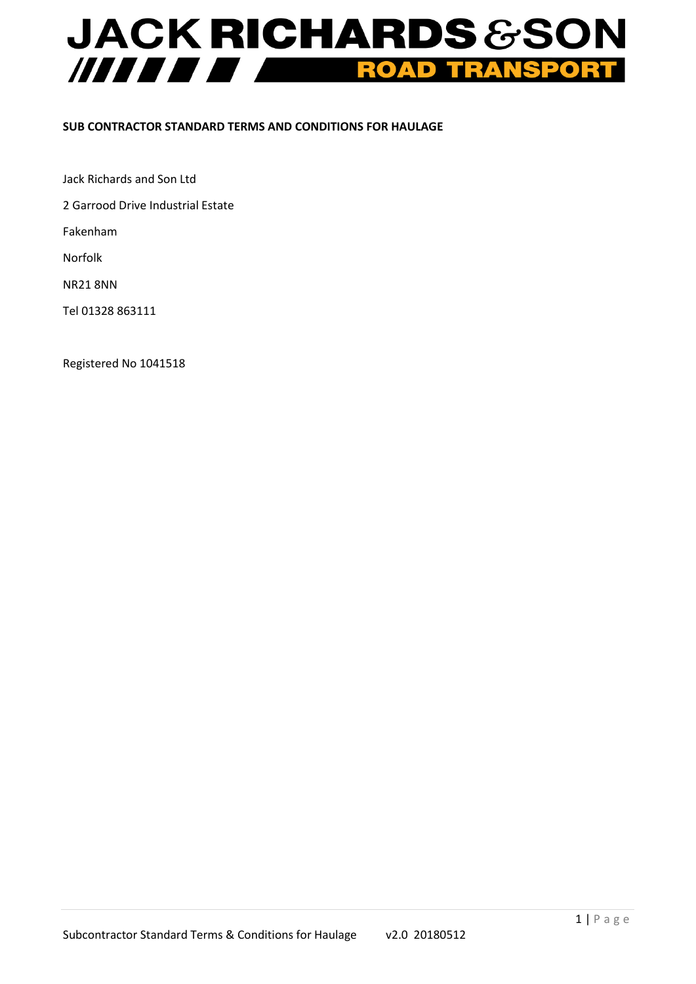# **JACK RICHARDS &SON** ///////// **TRANSPORT** ROAD

## **SUB CONTRACTOR STANDARD TERMS AND CONDITIONS FOR HAULAGE**

Jack Richards and Son Ltd

2 Garrood Drive Industrial Estate

Fakenham

Norfolk

NR21 8NN

Tel 01328 863111

Registered No 1041518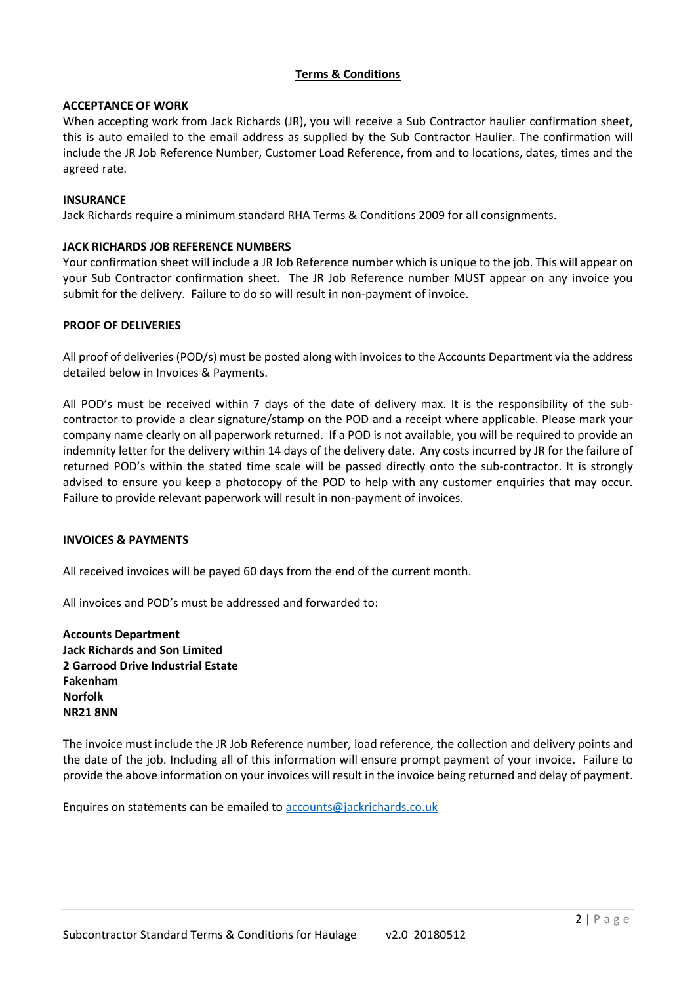## **Terms & Conditions**

## **ACCEPTANCE OF WORK**

When accepting work from Jack Richards (JR), you will receive a Sub Contractor haulier confirmation sheet, this is auto emailed to the email address as supplied by the Sub Contractor Haulier. The confirmation will include the JR Job Reference Number, Customer Load Reference, from and to locations, dates, times and the agreed rate.

## **INSURANCE**

Jack Richards require a minimum standard RHA Terms & Conditions 2009 for all consignments.

## **JACK RICHARDS JOB REFERENCE NUMBERS**

Your confirmation sheet will include a JR Job Reference number which is unique to the job. This will appear on your Sub Contractor confirmation sheet. The JR Job Reference number MUST appear on any invoice you submit for the delivery. Failure to do so will result in non-payment of invoice.

## **PROOF OF DELIVERIES**

All proof of deliveries (POD/s) must be posted along with invoices to the Accounts Department via the address detailed below in Invoices & Payments.

All POD's must be received within 7 days of the date of delivery max. It is the responsibility of the subcontractor to provide a clear signature/stamp on the POD and a receipt where applicable. Please mark your company name clearly on all paperwork returned. If a POD is not available, you will be required to provide an indemnity letter for the delivery within 14 days of the delivery date. Any costs incurred by JR for the failure of returned POD's within the stated time scale will be passed directly onto the sub-contractor. It is strongly advised to ensure you keep a photocopy of the POD to help with any customer enquiries that may occur. Failure to provide relevant paperwork will result in non-payment of invoices.

## **INVOICES & PAYMENTS**

All received invoices will be payed 60 days from the end of the current month.

All invoices and POD's must be addressed and forwarded to:

**Accounts Department Jack Richards and Son Limited 2 Garrood Drive Industrial Estate Fakenham Norfolk NR21 8NN**

The invoice must include the JR Job Reference number, load reference, the collection and delivery points and the date of the job. Including all of this information will ensure prompt payment of your invoice. Failure to provide the above information on your invoices will result in the invoice being returned and delay of payment.

Enquires on statements can be emailed to accounts@jackrichards.co.uk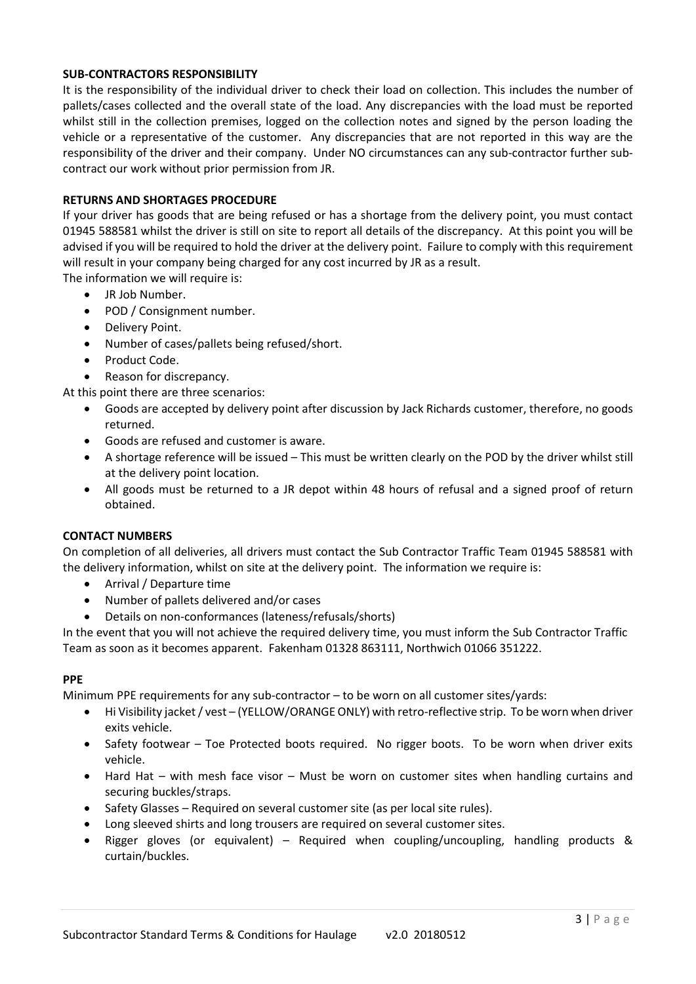## **SUB-CONTRACTORS RESPONSIBILITY**

It is the responsibility of the individual driver to check their load on collection. This includes the number of pallets/cases collected and the overall state of the load. Any discrepancies with the load must be reported whilst still in the collection premises, logged on the collection notes and signed by the person loading the vehicle or a representative of the customer. Any discrepancies that are not reported in this way are the responsibility of the driver and their company. Under NO circumstances can any sub-contractor further subcontract our work without prior permission from JR.

## **RETURNS AND SHORTAGES PROCEDURE**

If your driver has goods that are being refused or has a shortage from the delivery point, you must contact 01945 588581 whilst the driver is still on site to report all details of the discrepancy. At this point you will be advised if you will be required to hold the driver at the delivery point. Failure to comply with this requirement will result in your company being charged for any cost incurred by JR as a result.

The information we will require is:

- JR Job Number.
- POD / Consignment number.
- Delivery Point.
- Number of cases/pallets being refused/short.
- Product Code.
- Reason for discrepancy.

At this point there are three scenarios:

- Goods are accepted by delivery point after discussion by Jack Richards customer, therefore, no goods returned.
- Goods are refused and customer is aware.
- A shortage reference will be issued This must be written clearly on the POD by the driver whilst still at the delivery point location.
- All goods must be returned to a JR depot within 48 hours of refusal and a signed proof of return obtained.

## **CONTACT NUMBERS**

On completion of all deliveries, all drivers must contact the Sub Contractor Traffic Team 01945 588581 with the delivery information, whilst on site at the delivery point. The information we require is:

- Arrival / Departure time
- Number of pallets delivered and/or cases
- Details on non-conformances (lateness/refusals/shorts)

In the event that you will not achieve the required delivery time, you must inform the Sub Contractor Traffic Team as soon as it becomes apparent. Fakenham 01328 863111, Northwich 01066 351222.

## **PPE**

Minimum PPE requirements for any sub-contractor – to be worn on all customer sites/yards:

- Hi Visibility jacket / vest (YELLOW/ORANGE ONLY) with retro-reflective strip. To be worn when driver exits vehicle.
- Safety footwear Toe Protected boots required. No rigger boots. To be worn when driver exits vehicle.
- Hard Hat with mesh face visor Must be worn on customer sites when handling curtains and securing buckles/straps.
- Safety Glasses Required on several customer site (as per local site rules).
- Long sleeved shirts and long trousers are required on several customer sites.
- Rigger gloves (or equivalent) Required when coupling/uncoupling, handling products & curtain/buckles.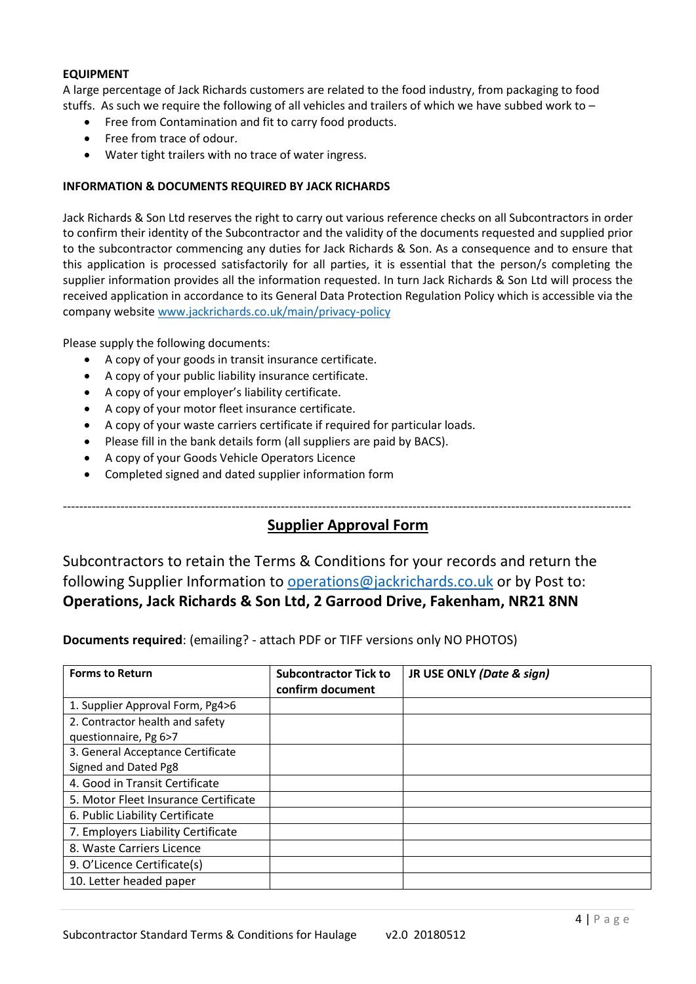#### **EQUIPMENT**

A large percentage of Jack Richards customers are related to the food industry, from packaging to food stuffs. As such we require the following of all vehicles and trailers of which we have subbed work to  $-$ 

- Free from Contamination and fit to carry food products.
- Free from trace of odour.
- Water tight trailers with no trace of water ingress.

## **INFORMATION & DOCUMENTS REQUIRED BY JACK RICHARDS**

Jack Richards & Son Ltd reserves the right to carry out various reference checks on all Subcontractors in order to confirm their identity of the Subcontractor and the validity of the documents requested and supplied prior to the subcontractor commencing any duties for Jack Richards & Son. As a consequence and to ensure that this application is processed satisfactorily for all parties, it is essential that the person/s completing the supplier information provides all the information requested. In turn Jack Richards & Son Ltd will process the received application in accordance to its General Data Protection Regulation Policy which is accessible via the company website www.jackrichards.co.uk/main/privacy-policy

Please supply the following documents:

- A copy of your goods in transit insurance certificate.
- A copy of your public liability insurance certificate.
- A copy of your employer's liability certificate.
- A copy of your motor fleet insurance certificate.
- A copy of your waste carriers certificate if required for particular loads.
- Please fill in the bank details form (all suppliers are paid by BACS).
- A copy of your Goods Vehicle Operators Licence
- Completed signed and dated supplier information form

------------------------------------------------------------------------------------------------------------------------------------------

## **Supplier Approval Form**

Subcontractors to retain the Terms & Conditions for your records and return the following Supplier Information to operations@jackrichards.co.uk or by Post to: **Operations, Jack Richards & Son Ltd, 2 Garrood Drive, Fakenham, NR21 8NN**

**Documents required**: (emailing? - attach PDF or TIFF versions only NO PHOTOS)

| <b>Forms to Return</b>               | <b>Subcontractor Tick to</b><br>confirm document | JR USE ONLY (Date & sign) |
|--------------------------------------|--------------------------------------------------|---------------------------|
| 1. Supplier Approval Form, Pg4>6     |                                                  |                           |
| 2. Contractor health and safety      |                                                  |                           |
| questionnaire, Pg 6>7                |                                                  |                           |
| 3. General Acceptance Certificate    |                                                  |                           |
| Signed and Dated Pg8                 |                                                  |                           |
| 4. Good in Transit Certificate       |                                                  |                           |
| 5. Motor Fleet Insurance Certificate |                                                  |                           |
| 6. Public Liability Certificate      |                                                  |                           |
| 7. Employers Liability Certificate   |                                                  |                           |
| 8. Waste Carriers Licence            |                                                  |                           |
| 9. O'Licence Certificate(s)          |                                                  |                           |
| 10. Letter headed paper              |                                                  |                           |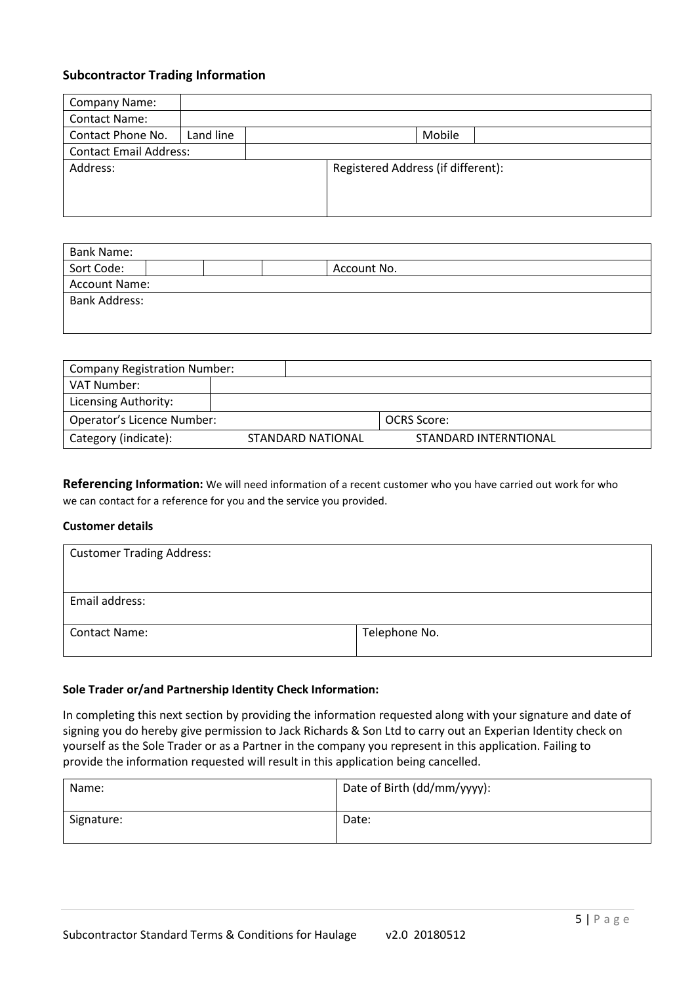## **Subcontractor Trading Information**

| Company Name:                 |           |  |                                    |        |  |
|-------------------------------|-----------|--|------------------------------------|--------|--|
| <b>Contact Name:</b>          |           |  |                                    |        |  |
| Contact Phone No.             | Land line |  |                                    | Mobile |  |
| <b>Contact Email Address:</b> |           |  |                                    |        |  |
| Address:                      |           |  | Registered Address (if different): |        |  |
|                               |           |  |                                    |        |  |
|                               |           |  |                                    |        |  |
|                               |           |  |                                    |        |  |

| <b>Bank Name:</b>    |  |  |  |             |  |
|----------------------|--|--|--|-------------|--|
| Sort Code:           |  |  |  | Account No. |  |
| <b>Account Name:</b> |  |  |  |             |  |
| <b>Bank Address:</b> |  |  |  |             |  |
|                      |  |  |  |             |  |
|                      |  |  |  |             |  |

| <b>Company Registration Number:</b> |                   |                       |  |
|-------------------------------------|-------------------|-----------------------|--|
| VAT Number:                         |                   |                       |  |
| Licensing Authority:                |                   |                       |  |
| Operator's Licence Number:          |                   | OCRS Score:           |  |
| Category (indicate):                | STANDARD NATIONAL | STANDARD INTERNTIONAL |  |

**Referencing Information:** We will need information of a recent customer who you have carried out work for who we can contact for a reference for you and the service you provided.

## **Customer details**

| <b>Customer Trading Address:</b> |               |
|----------------------------------|---------------|
|                                  |               |
| Email address:                   |               |
| <b>Contact Name:</b>             | Telephone No. |

## **Sole Trader or/and Partnership Identity Check Information:**

In completing this next section by providing the information requested along with your signature and date of signing you do hereby give permission to Jack Richards & Son Ltd to carry out an Experian Identity check on yourself as the Sole Trader or as a Partner in the company you represent in this application. Failing to provide the information requested will result in this application being cancelled.

| Name:      | Date of Birth (dd/mm/yyyy): |
|------------|-----------------------------|
| Signature: | Date:                       |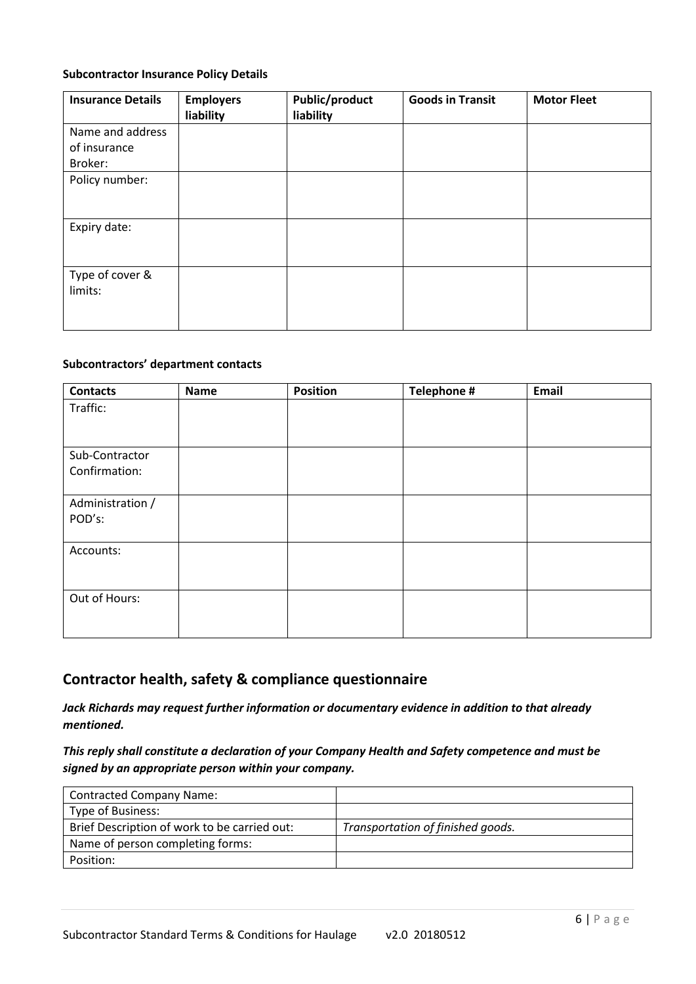## **Subcontractor Insurance Policy Details**

| <b>Insurance Details</b> | <b>Employers</b><br>liability | <b>Public/product</b><br>liability | <b>Goods in Transit</b> | <b>Motor Fleet</b> |
|--------------------------|-------------------------------|------------------------------------|-------------------------|--------------------|
| Name and address         |                               |                                    |                         |                    |
| of insurance             |                               |                                    |                         |                    |
| Broker:                  |                               |                                    |                         |                    |
| Policy number:           |                               |                                    |                         |                    |
|                          |                               |                                    |                         |                    |
|                          |                               |                                    |                         |                    |
| Expiry date:             |                               |                                    |                         |                    |
|                          |                               |                                    |                         |                    |
|                          |                               |                                    |                         |                    |
| Type of cover &          |                               |                                    |                         |                    |
| limits:                  |                               |                                    |                         |                    |
|                          |                               |                                    |                         |                    |
|                          |                               |                                    |                         |                    |

#### **Subcontractors' department contacts**

| <b>Contacts</b>  | Name | <b>Position</b> | Telephone # | Email |
|------------------|------|-----------------|-------------|-------|
| Traffic:         |      |                 |             |       |
|                  |      |                 |             |       |
| Sub-Contractor   |      |                 |             |       |
| Confirmation:    |      |                 |             |       |
| Administration / |      |                 |             |       |
| POD's:           |      |                 |             |       |
| Accounts:        |      |                 |             |       |
|                  |      |                 |             |       |
| Out of Hours:    |      |                 |             |       |
|                  |      |                 |             |       |

## **Contractor health, safety & compliance questionnaire**

*Jack Richards may request further information or documentary evidence in addition to that already mentioned.*

*This reply shall constitute a declaration of your Company Health and Safety competence and must be signed by an appropriate person within your company.*

| <b>Contracted Company Name:</b>              |                                   |
|----------------------------------------------|-----------------------------------|
| Type of Business:                            |                                   |
| Brief Description of work to be carried out: | Transportation of finished goods. |
| Name of person completing forms:             |                                   |
| Position:                                    |                                   |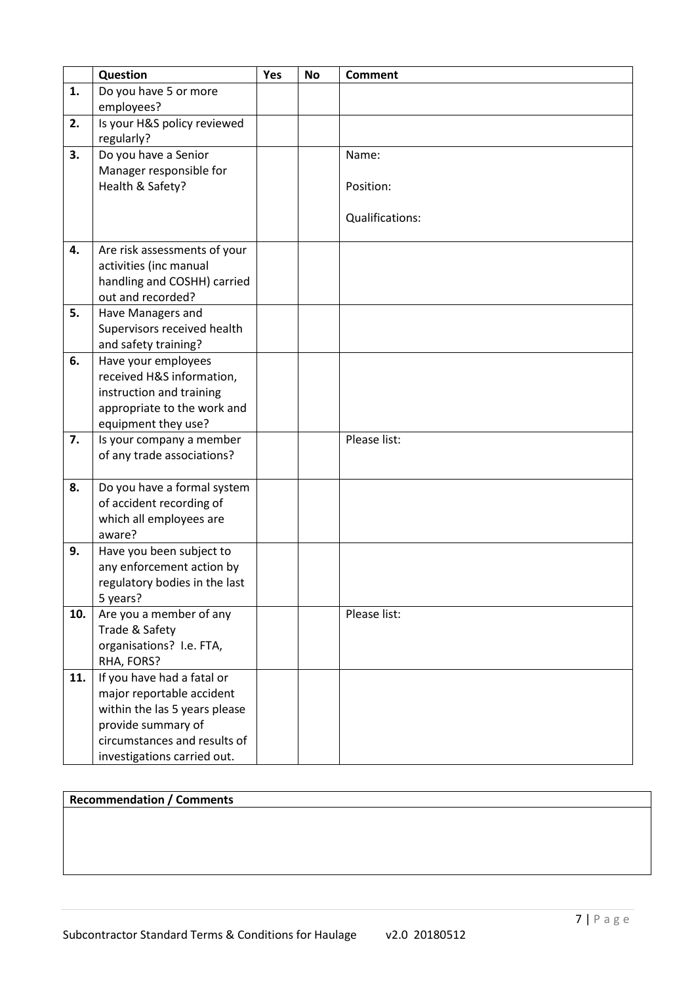|     | Question                                              | Yes | <b>No</b> | <b>Comment</b>  |
|-----|-------------------------------------------------------|-----|-----------|-----------------|
| 1.  | Do you have 5 or more                                 |     |           |                 |
|     | employees?                                            |     |           |                 |
| 2.  | Is your H&S policy reviewed                           |     |           |                 |
|     | regularly?                                            |     |           |                 |
| 3.  | Do you have a Senior                                  |     |           | Name:           |
|     | Manager responsible for                               |     |           |                 |
|     | Health & Safety?                                      |     |           | Position:       |
|     |                                                       |     |           |                 |
|     |                                                       |     |           | Qualifications: |
|     |                                                       |     |           |                 |
| 4.  | Are risk assessments of your                          |     |           |                 |
|     | activities (inc manual<br>handling and COSHH) carried |     |           |                 |
|     | out and recorded?                                     |     |           |                 |
| 5.  | Have Managers and                                     |     |           |                 |
|     | Supervisors received health                           |     |           |                 |
|     | and safety training?                                  |     |           |                 |
| 6.  | Have your employees                                   |     |           |                 |
|     | received H&S information,                             |     |           |                 |
|     | instruction and training                              |     |           |                 |
|     | appropriate to the work and                           |     |           |                 |
|     | equipment they use?                                   |     |           |                 |
| 7.  | Is your company a member                              |     |           | Please list:    |
|     | of any trade associations?                            |     |           |                 |
|     |                                                       |     |           |                 |
| 8.  | Do you have a formal system                           |     |           |                 |
|     | of accident recording of                              |     |           |                 |
|     | which all employees are                               |     |           |                 |
|     | aware?                                                |     |           |                 |
| 9.  | Have you been subject to                              |     |           |                 |
|     | any enforcement action by                             |     |           |                 |
|     | regulatory bodies in the last                         |     |           |                 |
|     | 5 years?                                              |     |           |                 |
| 10. | Are you a member of any                               |     |           | Please list:    |
|     | Trade & Safety<br>organisations? I.e. FTA,            |     |           |                 |
|     | RHA, FORS?                                            |     |           |                 |
| 11. | If you have had a fatal or                            |     |           |                 |
|     | major reportable accident                             |     |           |                 |
|     | within the las 5 years please                         |     |           |                 |
|     | provide summary of                                    |     |           |                 |
|     | circumstances and results of                          |     |           |                 |
|     | investigations carried out.                           |     |           |                 |

## **Recommendation / Comments**